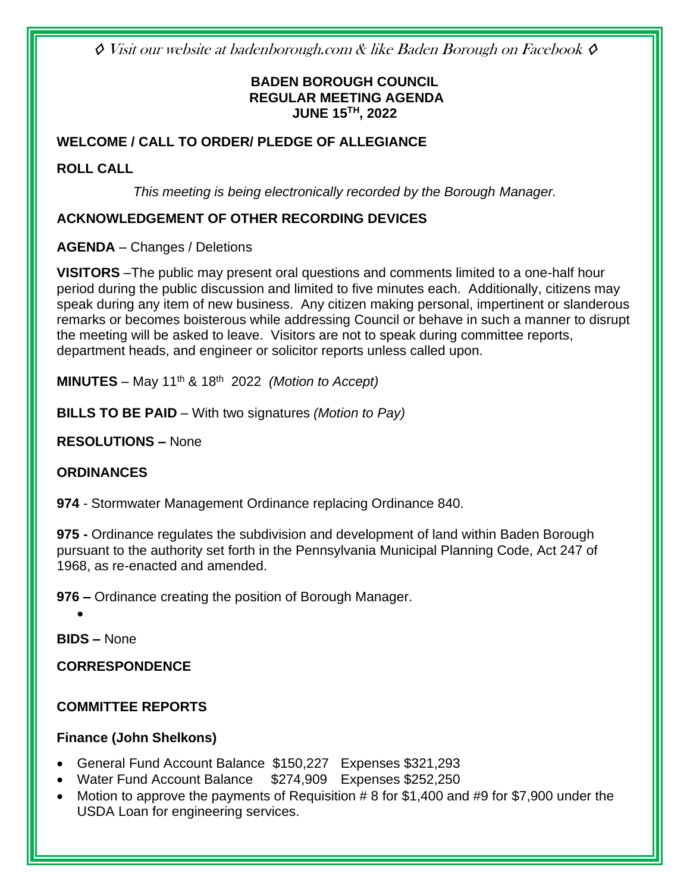◊ Visit our website at badenborough.com & like Baden Borough on Facebook ◊

### **BADEN BOROUGH COUNCIL REGULAR MEETING AGENDA JUNE 15TH, 2022**

### **WELCOME / CALL TO ORDER/ PLEDGE OF ALLEGIANCE**

#### **ROLL CALL**

*This meeting is being electronically recorded by the Borough Manager.*

#### **ACKNOWLEDGEMENT OF OTHER RECORDING DEVICES**

**AGENDA** – Changes / Deletions

**VISITORS** –The public may present oral questions and comments limited to a one-half hour period during the public discussion and limited to five minutes each. Additionally, citizens may speak during any item of new business. Any citizen making personal, impertinent or slanderous remarks or becomes boisterous while addressing Council or behave in such a manner to disrupt the meeting will be asked to leave. Visitors are not to speak during committee reports, department heads, and engineer or solicitor reports unless called upon.

**MINUTES** – May 11<sup>th</sup> & 18<sup>th</sup> 2022 *(Motion to Accept)* 

**BILLS TO BE PAID** – With two signatures *(Motion to Pay)*

**RESOLUTIONS –** None

#### **ORDINANCES**

**974** - Stormwater Management Ordinance replacing Ordinance 840.

**975 -** Ordinance regulates the subdivision and development of land within Baden Borough pursuant to the authority set forth in the Pennsylvania Municipal Planning Code, Act 247 of 1968, as re-enacted and amended.

**976 –** Ordinance creating the position of Borough Manager.

•

**BIDS –** None

**CORRESPONDENCE**

### **COMMITTEE REPORTS**

#### **Finance (John Shelkons)**

- General Fund Account Balance \$150,227 Expenses \$321,293
- Water Fund Account Balance \$274,909 Expenses \$252,250
- Motion to approve the payments of Requisition # 8 for \$1,400 and #9 for \$7,900 under the USDA Loan for engineering services.